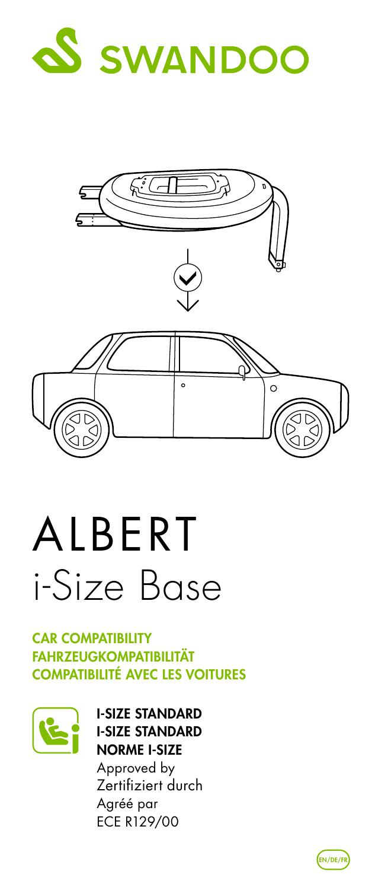



## ALBERT i-Size Base

## **CAR COMPATIBILITY** FAHRZEUGKOMPATIBILITÄT COMPATIBILITÉ AVEC LES VOITURES



I-SIZE STANDARD I-SIZE STANDARD NORME I-SIZE Approved by Zertifiziert durch Agréé par ECE R129/00

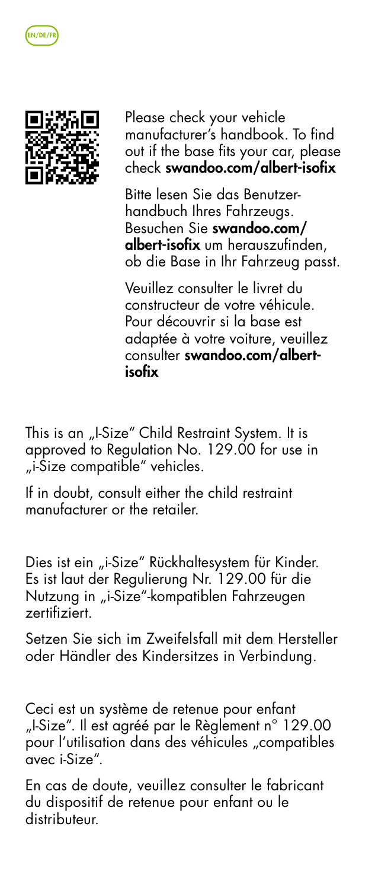



Please check your vehicle manufacturer's handbook. To find out if the base fits your car, please check swandoo.com/albert-isofix

Bitte lesen Sie das Benutzerhandbuch Ihres Fahrzeugs. Besuchen Sie swandoo.com/ albert-isofix um herauszufinden, ob die Base in Ihr Fahrzeug passt.

Veuillez consulter le livret du constructeur de votre véhicule. Pour découvrir si la base est adaptée à votre voiture, veuillez consulter swandoo.com/albertisofix

This is an "I-Size" Child Restraint System. It is approved to Regulation No. 129.00 for use in "i-Size compatible" vehicles.

If in doubt, consult either the child restraint manufacturer or the retailer.

Dies ist ein "i-Size" Rückhaltesystem für Kinder. Es ist laut der Regulierung Nr. 129.00 für die Nutzung in "i-Size"-kompatiblen Fahrzeugen zertifiziert.

Setzen Sie sich im Zweifelsfall mit dem Hersteller oder Händler des Kindersitzes in Verbindung.

Ceci est un système de retenue pour enfant "I-Size". Il est agréé par le Règlement n° 129.00 pour l'utilisation dans des véhicules "compatibles avec i-Size".

En cas de doute, veuillez consulter le fabricant du dispositif de retenue pour enfant ou le distributeur.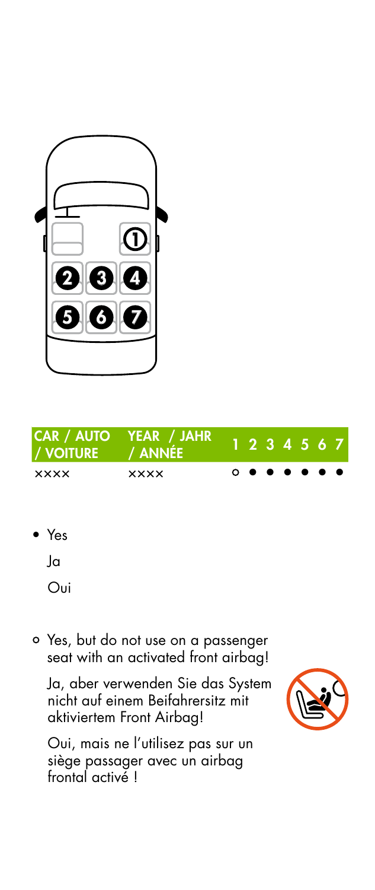



• Yes

Ja

Oui

 Yes, but do not use on a passenger seat with an activated front airbag!

Ja, aber verwenden Sie das System nicht auf einem Beifahrersitz mit aktiviertem Front Airbag!

Oui, mais ne l'utilisez pas sur un siège passager avec un airbag frontal activé !

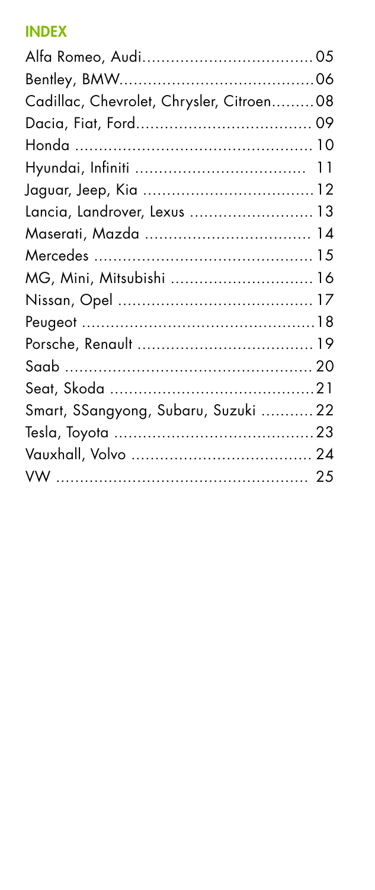## **INDEX**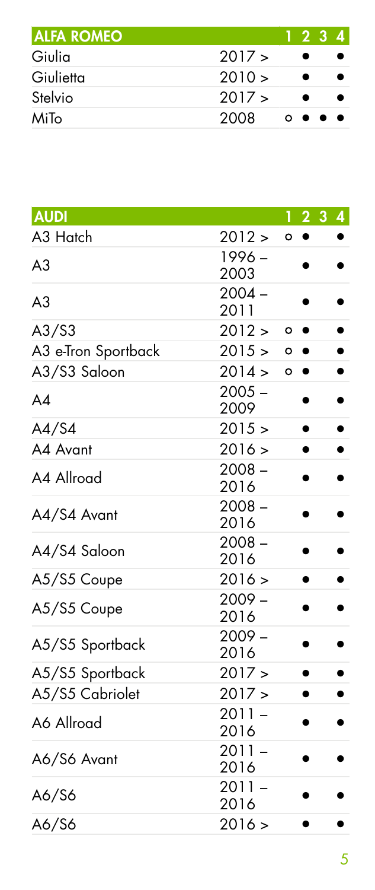| <b>ALFA ROMEO</b> |            | 1234    |  |
|-------------------|------------|---------|--|
| Giulia            | 2017 >     |         |  |
| Giulietta         | $2010 \ge$ |         |  |
| Stelvio           | 2017 >     |         |  |
| MiTo              | 2008       | 0.0.0.0 |  |

| <b>AUDI</b>         |                  |         |                | 1234 |           |
|---------------------|------------------|---------|----------------|------|-----------|
| A3 Hatch            | 2012 >           | $\circ$ | $\bullet$      |      |           |
| A3                  | 1996 -           |         |                |      |           |
|                     | 2003             |         |                |      |           |
| A <sub>3</sub>      | $2004 -$<br>2011 |         |                |      |           |
| A3/S3               | 2012 >           |         | $^{\circ}$     |      |           |
| A3 e-Tron Sportback | 2015 >           | $\circ$ |                |      |           |
| A3/S3 Saloon        | 2014 >           |         | $\circ\bullet$ |      |           |
|                     | $2005 -$         |         |                |      |           |
| AA                  | 2009             |         |                |      |           |
| A4/S4               | 2015 >           |         | ٠              |      | $\bullet$ |
| A4 Avant            | 2016 >           |         |                |      |           |
| A4 Allroad          | $2008 -$         |         |                |      |           |
|                     | 2016             |         |                |      |           |
| A4/S4 Avant         | $2008 -$<br>2016 |         |                |      |           |
| A4/S4 Saloon        | $2008 -$         |         |                |      |           |
|                     | 2016             |         |                |      |           |
| A5/S5 Coupe         | 2016 >           |         | $\bullet$      |      |           |
| A5/S5 Coupe         | $2009 -$         |         |                |      |           |
|                     | 2016             |         |                |      |           |
| A5/S5 Sportback     | $2009 -$<br>2016 |         |                |      |           |
| A5/S5 Sportback     | 2017 >           |         |                |      |           |
| A5/S5 Cabriolet     | 2017 >           |         |                |      |           |
|                     | $2011 -$         |         |                |      |           |
| A6 Allroad          | 2016             |         |                |      |           |
| A6/S6 Avant         | $2011 -$         |         |                |      |           |
|                     | 2016             |         |                |      |           |
| A6/S6               | $2011 -$         |         |                |      |           |
|                     | 2016             |         |                |      |           |
| A6/S6               | 2016 >           |         |                |      |           |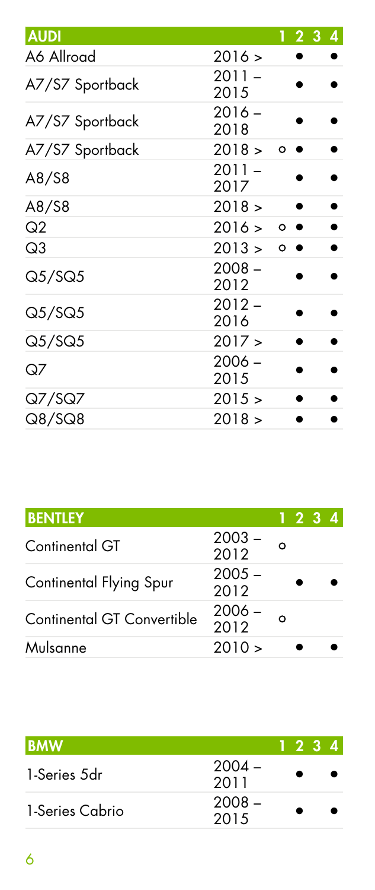| <b>AUDI</b>     |                  |         | 1234 |  |
|-----------------|------------------|---------|------|--|
| A6 Allroad      | 2016 >           |         |      |  |
| A7/S7 Sportback | $2011 -$<br>2015 |         |      |  |
| A7/S7 Sportback | $2016 -$<br>2018 |         |      |  |
| A7/S7 Sportback | 2018 >           | o       |      |  |
| A8/S8           | $2011 -$<br>2017 |         |      |  |
| A8/S8           | 2018 >           |         |      |  |
| Q2              | 2016 >           | $\circ$ |      |  |
| Q3              | 2013 >           | $\circ$ |      |  |
| Q5/SQ5          | $2008 -$<br>2012 |         |      |  |
| Q5/SQ5          | $2012 -$<br>2016 |         |      |  |
| Q5/SQ5          | 2017 >           |         |      |  |
| QZ              | $2006 -$<br>2015 |         |      |  |
| Q7/SQ7          | 2015 >           |         |      |  |
| Q8/SQ8          | 2018 >           |         |      |  |

| <b>BENTLEY</b>             |                  |         | 1 2 3 4 |  |
|----------------------------|------------------|---------|---------|--|
| Continental GT             | 2003 -<br>2012   | $\circ$ |         |  |
| Continental Flying Spur    | $2005 -$<br>2012 |         |         |  |
| Continental GT Convertible | 2006 -<br>2012   | O       |         |  |
| Mulsanne                   | 2010 >           |         |         |  |

| <b>BMW</b>      |                  | 1 2 3 4 |  |
|-----------------|------------------|---------|--|
| 1-Series 5dr    | $2004 -$<br>2011 |         |  |
| 1-Series Cabrio | $2008 -$<br>2015 |         |  |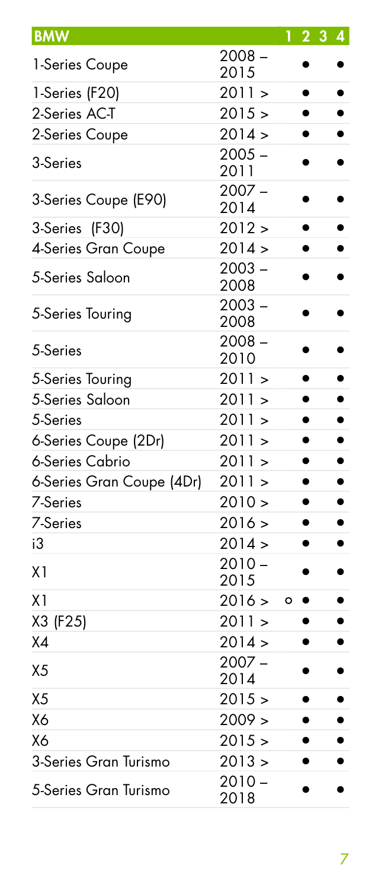| <b>BMW</b>                |                  |         | 2 <sub>3</sub> |  |
|---------------------------|------------------|---------|----------------|--|
| 1-Series Coupe            | $2008 -$<br>2015 |         |                |  |
| 1-Series (F20)            | 2011 >           |         | $\bullet$      |  |
| 2-Series AC-T             | 2015 >           |         | $\bullet$      |  |
| 2-Series Coupe            | 2014 >           |         | $\bullet$      |  |
| 3-Series                  | $2005 -$<br>2011 |         |                |  |
| 3-Series Coupe (E90)      | $2007 -$<br>2014 |         |                |  |
| 3-Series (F30)            | 2012 >           |         |                |  |
| 4-Series Gran Coupe       | 2014 >           |         |                |  |
| 5-Series Saloon           | $2003 -$<br>2008 |         |                |  |
| 5-Series Touring          | $2003 -$<br>2008 |         |                |  |
| 5-Series                  | $2008 -$<br>2010 |         |                |  |
| 5-Series Touring          | 2011 >           |         |                |  |
| 5-Series Saloon           | 2011 >           |         | $\bullet$      |  |
| 5-Series                  | 2011 >           |         | $\bullet$      |  |
| 6-Series Coupe (2Dr)      | 2011 >           |         | $\bullet$      |  |
| 6-Series Cabrio           | 2011 >           |         | $\bullet$      |  |
| 6-Series Gran Coupe (4Dr) | 2011 >           |         | $\bullet$      |  |
| 7-Series                  | 2010 >           |         | $\bullet$      |  |
| 7-Series                  | 2016 >           |         | $\bullet$      |  |
| iЗ                        | 2014 >           |         | $\bullet$      |  |
| X1                        | $2010 -$<br>2015 |         | $\bullet$      |  |
| X <sub>1</sub>            | 2016 >           | $\circ$ | $\bullet$      |  |
| X3 (F25)                  | 2011 >           |         |                |  |
| X <sub>4</sub>            | 2014 >           |         |                |  |
| X <sub>5</sub>            | $2007 -$<br>2014 |         |                |  |
| X <sub>5</sub>            | 2015 >           |         |                |  |
| <b>X6</b>                 | 2009 >           |         |                |  |
| X6                        | 2015 >           |         |                |  |
| 3-Series Gran Turismo     | 2013 >           |         |                |  |
| 5-Series Gran Turismo     | $2010 -$<br>2018 |         |                |  |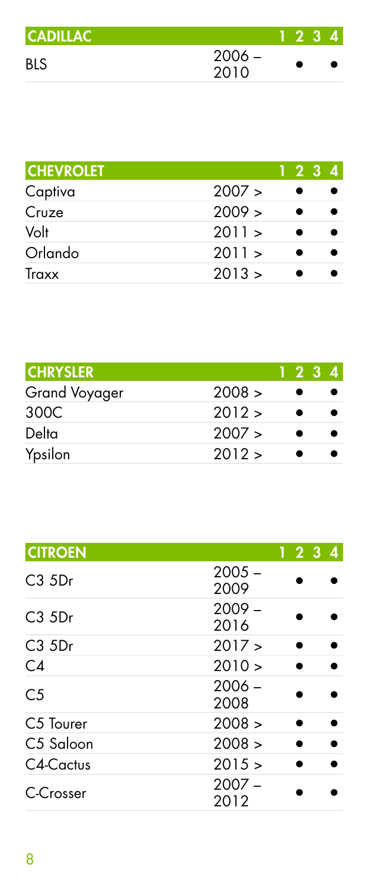| <b>CADILLAC</b> |                  | 234 |  |
|-----------------|------------------|-----|--|
| BLS             | $2006 -$<br>2010 |     |  |

| <b>CHEVROLET</b> |        | ۱ŀ. | 2 3 4 |
|------------------|--------|-----|-------|
| Captiva          | 2007 > |     |       |
| Cruze            | 2009 > |     |       |
| Volt             | 2011 > |     |       |
| Orlando          | 2011 > |     |       |
| Traxx            | 2013 > |     |       |

| <b>CHRYSLER</b> |        |   | 1234 |
|-----------------|--------|---|------|
| Grand Voyager   | 2008 > |   |      |
| 300C            | 2012 > | ٠ |      |
| Delta           | 2007 > | ٠ |      |
| Ypsilon         | 2012 > |   |      |

| <b>CITROEN</b>        |                  | 1234 |
|-----------------------|------------------|------|
| $C3$ 5Dr              | $2005 -$<br>2009 |      |
| $C3$ 5Dr              | $2009 -$<br>2016 |      |
| $C3$ $5Dr$            | 2017 >           |      |
| C4                    | 2010 >           |      |
| C <sub>5</sub>        | $2006 -$<br>2008 |      |
| C <sub>5</sub> Tourer | 2008 >           |      |
| C5 Saloon             | 2008 >           |      |
| C4-Cactus             | 2015 >           |      |
| C-Crosser             | $2007 -$<br>2012 |      |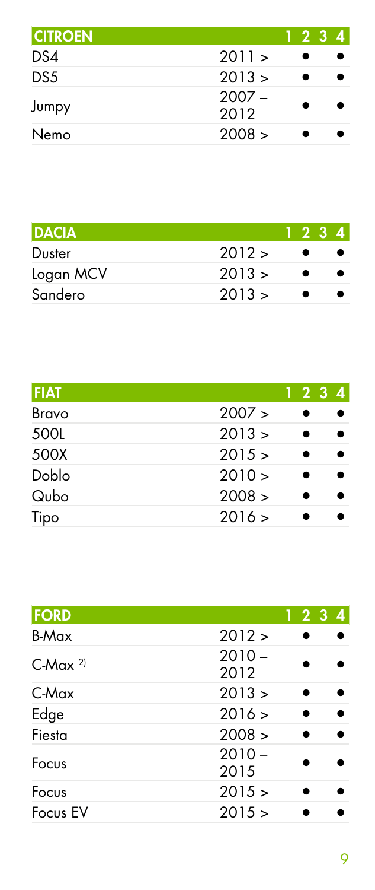| <b>CITROEN</b> |                  | 1234 |  |
|----------------|------------------|------|--|
| DS4            | 2011 >           |      |  |
| DS5            | 2013 >           |      |  |
| Jumpy          | $2007 -$<br>2012 |      |  |
| Nemo           | 2008 >           |      |  |

| <b>DACIA</b> |        | 1234 |  |
|--------------|--------|------|--|
| Duster       | 2012 > |      |  |
| Logan MCV    | 2013 > |      |  |
| Sandero      | 2013 > |      |  |

| <b>FIAT</b>     | 1234 |
|-----------------|------|
| 2007 ><br>Bravo |      |
| 2013 ><br>500L  |      |
| 500X<br>2015 >  |      |
| Doblo<br>2010 > |      |
| Qubo<br>2008 >  |      |
| 2016 ><br>Tipo  |      |

| FORD                  | 1234             |  |
|-----------------------|------------------|--|
| <b>B-Max</b>          | 2012 >           |  |
| $C-Max$ <sup>2)</sup> | $2010 -$<br>2012 |  |
| C-Max                 | 2013 >           |  |
| Edge                  | 2016 >           |  |
| Fiesta                | 2008 >           |  |
| Focus                 | $2010 -$<br>2015 |  |
| Focus                 | 2015 >           |  |
| Focus EV              | 2015 >           |  |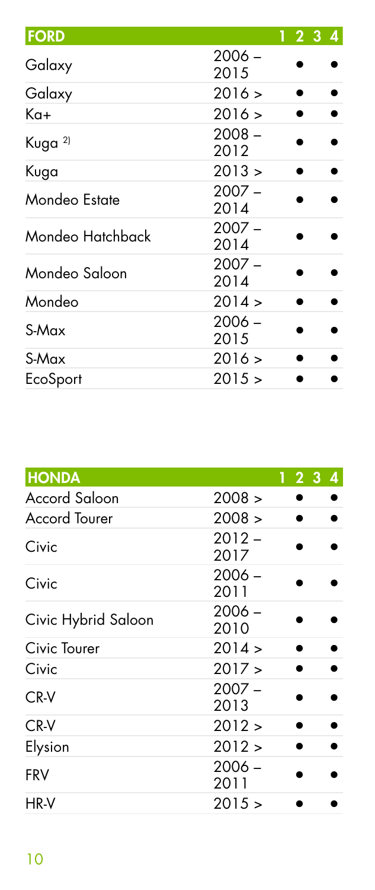| <b>FORD</b>        |                  | 1234 |
|--------------------|------------------|------|
| Galaxy             | $2006 -$<br>2015 |      |
| Galaxy             | 2016 >           |      |
| Ka+                | 2016 >           |      |
| Kuga <sup>2)</sup> | $2008 -$<br>2012 |      |
| Kuga               | 2013 >           |      |
| Mondeo Estate      | $2007 -$<br>2014 |      |
| Mondeo Hatchback   | $2007 -$<br>2014 |      |
| Mondeo Saloon      | $2007 -$<br>2014 |      |
| Mondeo             | 2014 >           |      |
| S-Max              | $2006 -$<br>2015 |      |
| S-Max              | 2016 >           |      |
| EcoSport           | 2015 >           |      |

| <b>HONDA</b>         |                  | 123 | 4 |
|----------------------|------------------|-----|---|
| Accord Saloon        | 2008 >           |     |   |
| <b>Accord Tourer</b> | 2008 >           |     |   |
| Civic                | $2012 -$<br>2017 |     |   |
| Civic                | $2006 -$<br>2011 |     |   |
| Civic Hybrid Saloon  | $2006 -$<br>2010 |     |   |
| Civic Tourer         | 2014 >           |     |   |
| Civic                | 2017 >           |     |   |
| CR-V                 | $2007 -$<br>2013 |     |   |
| CR-V                 | 2012 >           |     |   |
| Elysion              | 2012 >           |     |   |
| <b>FRV</b>           | $2006 -$<br>2011 |     |   |
| HR-V                 | 2015 >           |     |   |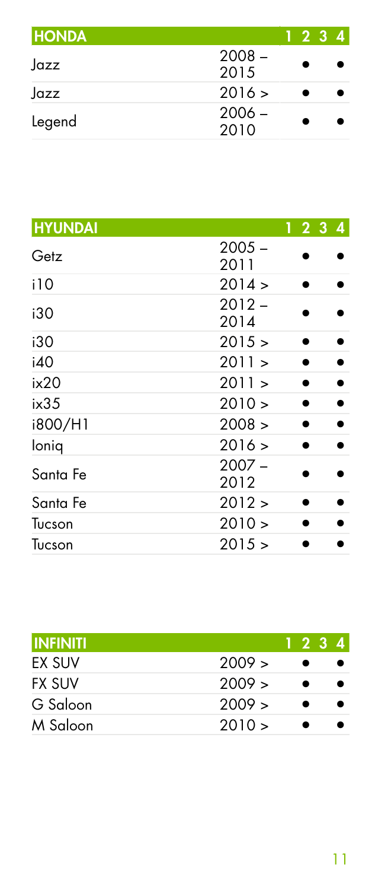| <b>HONDA</b> |                  | 1234 |  |
|--------------|------------------|------|--|
| Jazz         | $2008 -$<br>2015 |      |  |
| Jazz         | 2016 >           |      |  |
| Legend       | $2006 -$<br>2010 |      |  |

| <b>HYUNDAI</b> |                  |  | 1 2 3 4 |  |
|----------------|------------------|--|---------|--|
| Getz           | $2005 -$<br>2011 |  |         |  |
| i10            | 2014 >           |  |         |  |
| i30            | $2012 -$<br>2014 |  |         |  |
| i30            | 2015 >           |  |         |  |
| i40            | 2011 >           |  |         |  |
| ix20           | 2011 >           |  |         |  |
| ix35           | $2010 \ge$       |  |         |  |
| i800/H1        | 2008 >           |  |         |  |
| loniq          | 2016 >           |  |         |  |
| Santa Fe       | $2007 -$<br>2012 |  |         |  |
| Santa Fe       | 2012 >           |  |         |  |
| Tucson         | 2010 >           |  |         |  |
| Tucson         | 2015 >           |  |         |  |

|        | 1234 |  |
|--------|------|--|
| 2009 > |      |  |
| 2009 > |      |  |
| 2009 > |      |  |
| 2010 > |      |  |
|        |      |  |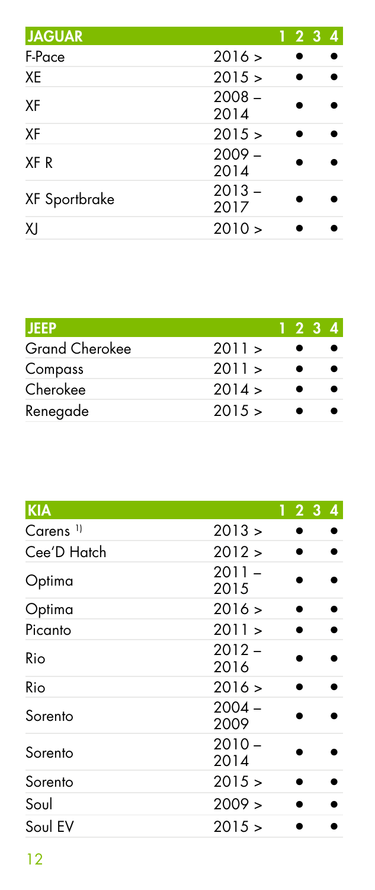| <b>JAGUAR</b> |                  | 1234 |
|---------------|------------------|------|
| F-Pace        | 2016 >           |      |
| XE            | 2015 >           |      |
| XF            | $2008 -$<br>2014 |      |
| XF            | 2015 >           |      |
| XF R          | $2009 -$<br>2014 |      |
| XF Sportbrake | $2013 -$<br>2017 |      |
| XI            | 2010 >           |      |

| <b>JEEP</b>    |        | 1234 |  |
|----------------|--------|------|--|
| Grand Cherokee | 2011 > |      |  |
| Compass        | 2011 > |      |  |
| Cherokee       | 2014 > |      |  |
| Renegade       | 2015 > |      |  |

| <b>KIA</b>           |                  | 1234 |  |  |
|----------------------|------------------|------|--|--|
| Carens <sup>11</sup> | 2013 >           |      |  |  |
| Cee'D Hatch          | 2012 >           |      |  |  |
| Optima               | $2011 -$<br>2015 |      |  |  |
| Optima               | 2016 >           |      |  |  |
| Picanto              | 2011 >           |      |  |  |
| Rio                  | $2012 -$<br>2016 |      |  |  |
| Rio                  | 2016 >           |      |  |  |
| Sorento              | $2004 -$<br>2009 |      |  |  |
| Sorento              | $2010 -$<br>2014 |      |  |  |
| Sorento              | 2015 >           |      |  |  |
| Soul                 | 2009 >           |      |  |  |
| Soul EV              | 2015 >           |      |  |  |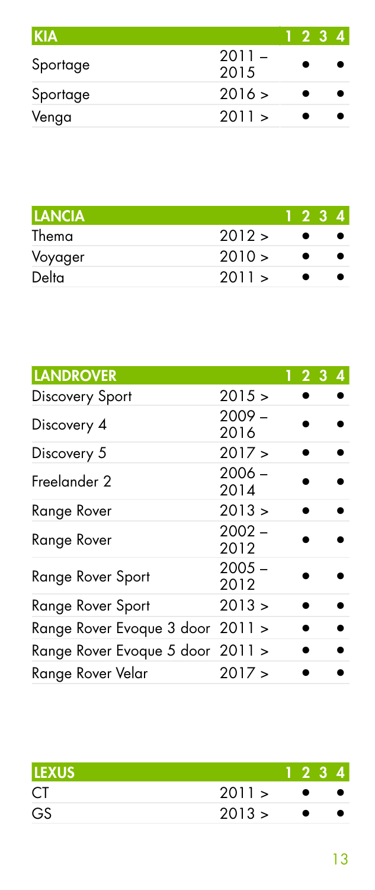| <b>KIA</b> |                  | 1234 |  |
|------------|------------------|------|--|
| Sportage   | $2011 -$<br>2015 |      |  |
| Sportage   | 2016 >           |      |  |
| Venga      | 2011 >           |      |  |

| <b>LANCIA</b> |        | 1234 |  |
|---------------|--------|------|--|
| Thema         | 2012 > |      |  |
| Voyager       | 2010 > |      |  |
| Delta         | 2011 > |      |  |

| <b>LANDROVER</b>                 |                  | 1234 |  |
|----------------------------------|------------------|------|--|
| Discovery Sport                  | 2015 >           |      |  |
| Discovery 4                      | $2009 -$<br>2016 |      |  |
| Discovery 5                      | 2017 >           |      |  |
| Freelander 2                     | $2006 -$<br>2014 |      |  |
| Range Rover                      | 2013 >           |      |  |
| Range Rover                      | $2002 -$<br>2012 |      |  |
| Range Rover Sport                | $2005 -$<br>2012 |      |  |
| Range Rover Sport                | 2013 >           |      |  |
| Range Rover Evoque 3 door 2011 > |                  |      |  |
| Range Rover Evoque 5 door 2011 > |                  |      |  |
| Range Rover Velar                | 2017 >           |      |  |

| ILEXUS |        | 1234      |  |
|--------|--------|-----------|--|
| CT     | 2011 > | $\bullet$ |  |
| GS     | 2013 > | $\bullet$ |  |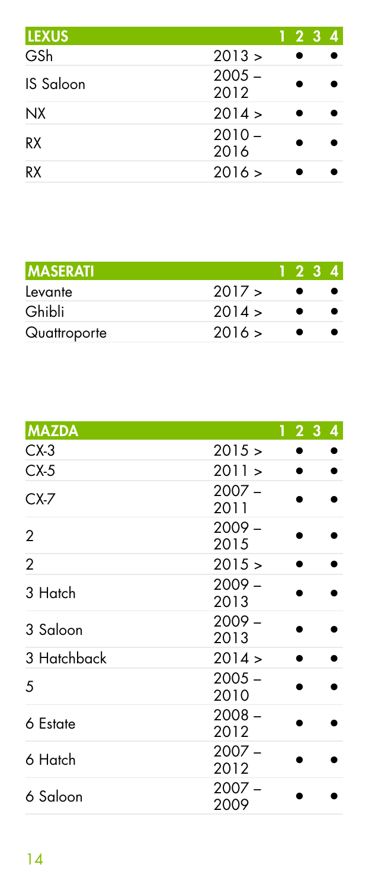| <b>LEXUS</b> | 1 2 3 4          |  |
|--------------|------------------|--|
| GSh          | 2013 >           |  |
| IS Saloon    | $2005 -$<br>2012 |  |
| <b>NX</b>    | 2014 >           |  |
| RX           | $2010 -$<br>2016 |  |
| RX           | 2016 >           |  |

| <b>MASERATI</b> |        | 1234 |  |
|-----------------|--------|------|--|
| Levante         | 2017 > |      |  |
| Ghibli          | 2014 > |      |  |
| Quattroporte    | 2016 > |      |  |

| <b>MAZDA</b>   |                  | 1234 |
|----------------|------------------|------|
| $CX-3$         | 2015 >           |      |
| $CX-5$         | 2011 >           |      |
| $CX-7$         | $2007 -$<br>2011 |      |
| 2              | $2009 -$<br>2015 |      |
| $\overline{2}$ | 2015 >           |      |
| 3 Hatch        | $2009 -$<br>2013 |      |
| 3 Saloon       | $2009 -$<br>2013 |      |
| 3 Hatchback    | 2014 >           |      |
| 5              | $2005 -$<br>2010 |      |
| 6 Estate       | $2008 -$<br>2012 |      |
| 6 Hatch        | $2007 -$<br>2012 |      |
| 6 Saloon       | $2007 -$<br>2009 |      |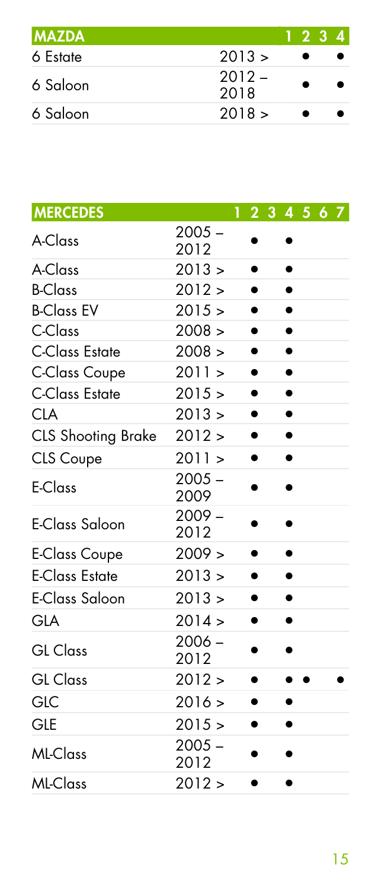| <b>MAZDA</b> |                  | 1234 |  |
|--------------|------------------|------|--|
| 6 Estate     | 2013 >           |      |  |
| 6 Saloon     | $2012 -$<br>2018 |      |  |
| 6 Saloon     | 2018 >           |      |  |

| <b>MERCEDES</b>           |                  | 1234567   |           |  |  |
|---------------------------|------------------|-----------|-----------|--|--|
| A-Class                   | $2005 -$<br>2012 |           | $\bullet$ |  |  |
| A-Class                   | 2013 >           | ٠         | ٠         |  |  |
| <b>B-Class</b>            | 2012 >           |           |           |  |  |
| <b>B-Class EV</b>         | 2015 >           | ٠         | ٠         |  |  |
| C-Class                   | 2008 >           | ٠         | $\bullet$ |  |  |
| <b>C-Class Estate</b>     | 2008 >           |           | $\bullet$ |  |  |
| <b>C-Class Coupe</b>      | 2011 >           | $\bullet$ | $\bullet$ |  |  |
| C-Class Estate            | 2015 >           | ٠         | ٠         |  |  |
| <b>CLA</b>                | 2013 >           | ٠         | $\bullet$ |  |  |
| <b>CLS Shooting Brake</b> | 2012 >           | ٠         | ٠         |  |  |
| <b>CLS</b> Coupe          | 2011 >           | ٠         | $\bullet$ |  |  |
| E-Class                   | $2005 -$<br>2009 |           |           |  |  |
| E-Class Saloon            | $2009 -$<br>2012 | $\bullet$ | ٠         |  |  |
| <b>E-Class Coupe</b>      | 2009 >           | ٠         | ٠         |  |  |
| <b>E-Class Estate</b>     | 2013 >           | ٠         | ٠         |  |  |
| E-Class Saloon            | 2013 >           | $\bullet$ | $\bullet$ |  |  |
| GLA                       | 2014 >           | $\bullet$ | ٠         |  |  |
| <b>GL</b> Class           | $2006 -$<br>2012 | $\bullet$ | ٠         |  |  |
| <b>GL</b> Class           | 2012 >           | $\bullet$ | $\bullet$ |  |  |
| GLC                       | 2016 >           | ٠         |           |  |  |
| GLE                       | 2015 >           | ٠         | $\bullet$ |  |  |
| ML-Class                  | $2005 -$<br>2012 |           |           |  |  |
| ML-Class                  | 2012 >           | $\bullet$ | $\bullet$ |  |  |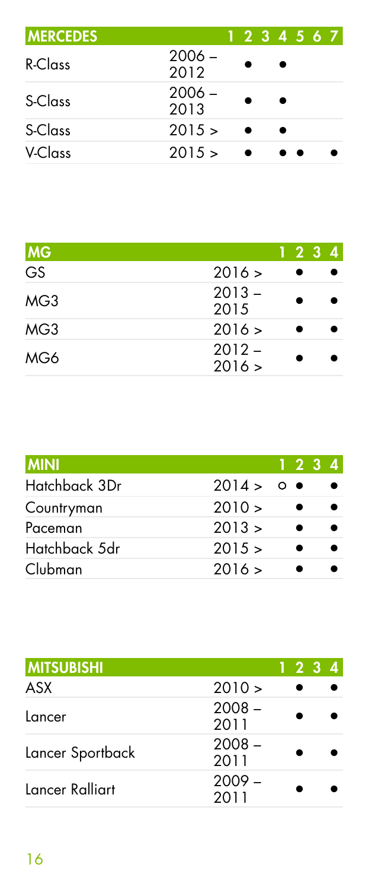| <b>MERCEDES</b> |                  |  |   | 1 2 3 4 5 6 7 |  |
|-----------------|------------------|--|---|---------------|--|
| R-Class         | $2006 -$<br>2012 |  | ٠ |               |  |
| S-Class         | $2006 -$<br>2013 |  | ٠ |               |  |
| S-Class         | 2015 >           |  |   |               |  |
| V-Class         | 2015 >           |  |   |               |  |

| <b>MG</b> |                    | 1234 |  |
|-----------|--------------------|------|--|
| GS        | 2016 >             |      |  |
| MG3       | $2013 -$<br>2015   |      |  |
| MG3       | 2016 >             |      |  |
| MG6       | $2012 -$<br>2016 > |      |  |

| <b>MINI</b>   |          | 1234 |  |
|---------------|----------|------|--|
| Hatchback 3Dr | 2014 > 0 |      |  |
| Countryman    | 2010 >   |      |  |
| Paceman       | 2013 >   |      |  |
| Hatchback 5dr | 2015 >   |      |  |
| Clubman       | 2016 >   |      |  |

| <b>IMITSUBISHI</b> |                  |  | 1234 |
|--------------------|------------------|--|------|
| ASX                | $2010 \ge$       |  |      |
| Lancer             | $2008 -$<br>2011 |  |      |
| Lancer Sportback   | $2008 -$<br>2011 |  |      |
| Lancer Ralliart    | $2009 -$<br>2011 |  |      |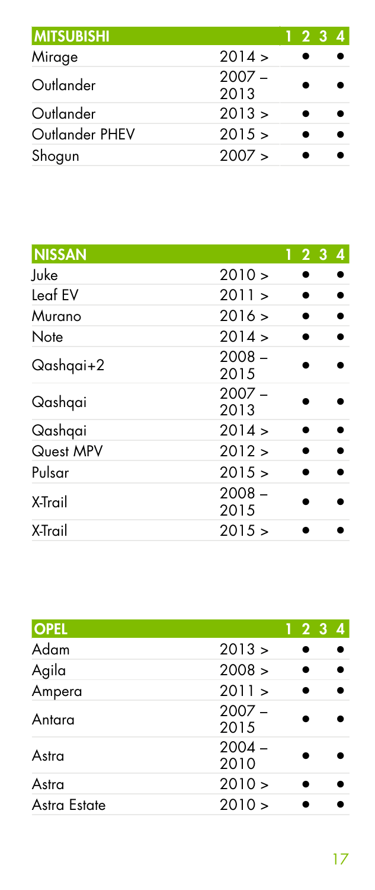| <b>MITSUBISHI</b> |                  | 1 2 3 4 |  |
|-------------------|------------------|---------|--|
| Mirage            | 2014 >           |         |  |
| Outlander         | $2007 -$<br>2013 |         |  |
| Outlander         | 2013 >           |         |  |
| Outlander PHEV    | 2015 >           |         |  |
| Shogun            | 2007 >           |         |  |

| <b>NISSAN</b> |                  | $1\,2\,3\,4$ |
|---------------|------------------|--------------|
| Juke          | 2010 >           |              |
| Leaf EV       | 2011 >           |              |
| Murano        | 2016 >           |              |
| Note          | 2014 >           |              |
| Qashqai+2     | $2008 -$<br>2015 |              |
| Qashqai       | $2007 -$<br>2013 |              |
| Qashqai       | 2014 >           |              |
| Quest MPV     | 2012 >           |              |
| Pulsar        | 2015 >           |              |
| X-Trail       | $2008 -$<br>2015 |              |
| X-Trail       | 2015 >           |              |

| <b>OPEL</b>  |                  | $1\,2\,3$ | $\overline{4}$ |
|--------------|------------------|-----------|----------------|
| Adam         | 2013 >           |           |                |
| Agila        | 2008 >           |           |                |
| Ampera       | 2011 >           |           |                |
| Antara       | $2007 -$<br>2015 |           |                |
| Astra        | $2004 -$<br>2010 |           |                |
| Astra        | 2010 >           |           |                |
| Astra Estate | 2010 >           |           |                |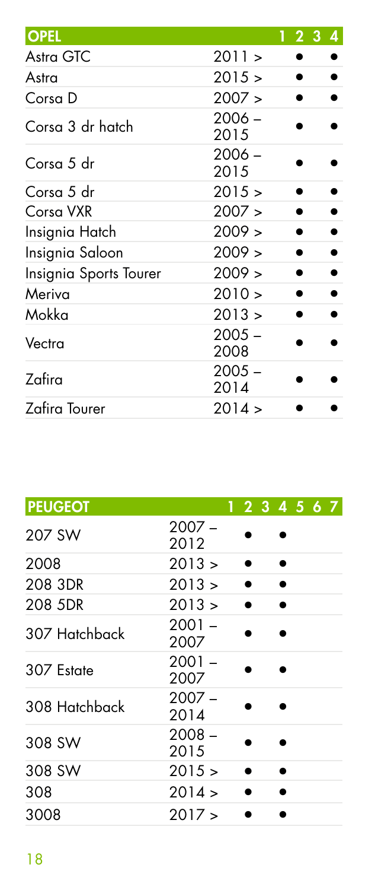|                  |  | 4         |
|------------------|--|-----------|
| 2011 >           |  |           |
| 2015 >           |  |           |
| 2007 >           |  |           |
| $2006 -$<br>2015 |  |           |
| $2006 -$<br>2015 |  |           |
| 2015 >           |  |           |
| 2007 >           |  |           |
| 2009 >           |  |           |
| 2009 >           |  |           |
| 2009 >           |  |           |
| 2010 >           |  |           |
| 2013 >           |  |           |
| $2005 -$<br>2008 |  |           |
| $2005 -$<br>2014 |  |           |
| 2014 >           |  |           |
|                  |  | $1\,2\,3$ |

| <b>PEUGEOT</b> | 1 2 3 4 5 6 7    |
|----------------|------------------|
| 207 SW         | $2007 -$<br>2012 |
| 2008           | 2013 >           |
| 208 3DR        | 2013 ><br>۰      |
| 208 5DR        | 2013 >           |
| 307 Hatchback  | $2001 -$<br>2007 |
| 307 Estate     | $2001 -$<br>2007 |
| 308 Hatchback  | $2007 -$<br>2014 |
| 308 SW         | $2008 -$<br>2015 |
| 308 SW         | 2015 >           |
| 308            | 2014 >           |
| 3008           | 2017 >           |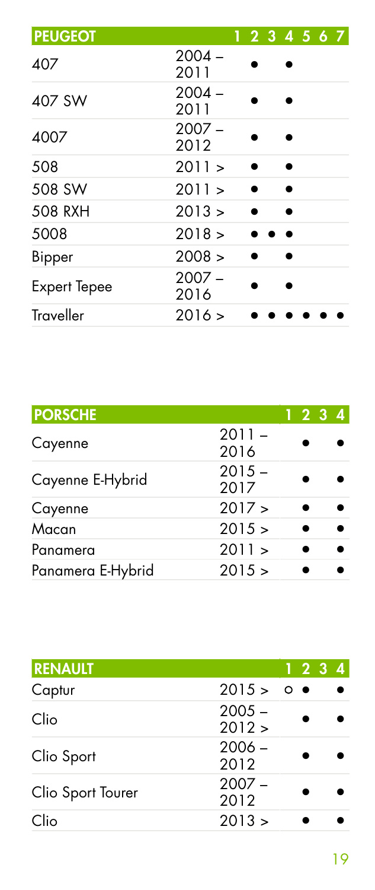| <b>PEUGEOT</b>      | 1 2 3 4 5 6 7    |  |
|---------------------|------------------|--|
| 407                 | $2004 -$<br>2011 |  |
| 407 SW              | $2004 -$<br>2011 |  |
| 4007                | $2007 -$<br>2012 |  |
| 508                 | 2011 >           |  |
| 508 SW              | 2011 >           |  |
| 508 RXH             | 2013 >           |  |
| 5008                | 2018 >           |  |
| <b>Bipper</b>       | 2008 >           |  |
| <b>Expert Tepee</b> | $2007 -$<br>2016 |  |
| Traveller           | 2016 >           |  |

| <b>PORSCHE</b>    |                  | 1 2 3 4 |
|-------------------|------------------|---------|
| Cayenne           | $2011 -$<br>2016 |         |
| Cayenne E-Hybrid  | $2015 -$<br>2017 |         |
| Cayenne           | 2017 >           |         |
| Macan             | 2015 >           |         |
| Panamera          | 2011 >           |         |
| Panamera E-Hybrid | 2015 >           |         |
|                   |                  |         |

| <b>RENAULT</b>    |                    |  | 1234 |
|-------------------|--------------------|--|------|
| Captur            | 2015 > 0           |  |      |
| Clio              | $2005 -$<br>2012 > |  |      |
| Clio Sport        | $2006 -$<br>2012   |  |      |
| Clio Sport Tourer | $2007 -$<br>2012   |  |      |
| Clio              | 2013 >             |  |      |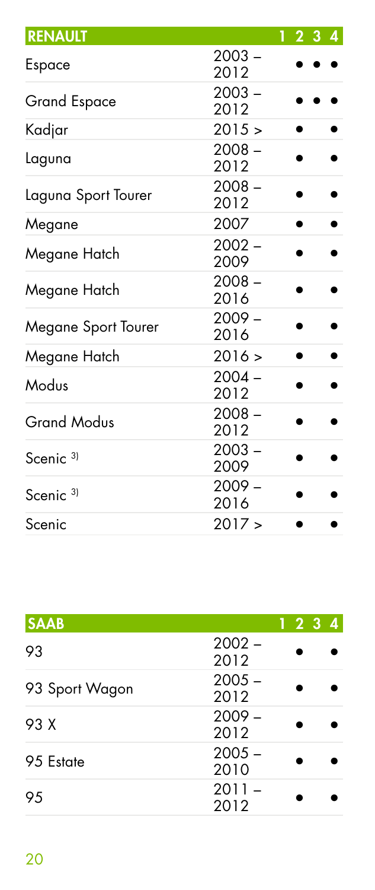| <b>RENAULT</b>       |                  | 1 2 3 4 |
|----------------------|------------------|---------|
| Espace               | $2003 -$<br>2012 |         |
| <b>Grand Espace</b>  | $2003 -$<br>2012 |         |
| Kadjar               | 2015 >           |         |
| Laguna               | $2008 -$<br>2012 |         |
| Laguna Sport Tourer  | $2008 -$<br>2012 |         |
| Megane               | 2007             |         |
| Megane Hatch         | $2002 -$<br>2009 |         |
| Megane Hatch         | $2008 -$<br>2016 |         |
| Megane Sport Tourer  | $2009 -$<br>2016 |         |
| Megane Hatch         | 2016 >           |         |
| Modus                | $2004 -$<br>2012 |         |
| <b>Grand Modus</b>   | $2008 -$<br>2012 |         |
| Scenic <sup>3)</sup> | $2003 -$<br>2009 |         |
| Scenic <sup>3)</sup> | $2009 -$<br>2016 |         |
| Scenic               | 2017 >           |         |

| <b>SAAB</b>    |                  | 1234 |
|----------------|------------------|------|
| 93             | $2002 -$<br>2012 |      |
| 93 Sport Wagon | $2005 -$<br>2012 |      |
| 93 X           | $2009 -$<br>2012 |      |
| 95 Estate      | $2005 -$<br>2010 |      |
| 95             | $2011 -$<br>2012 |      |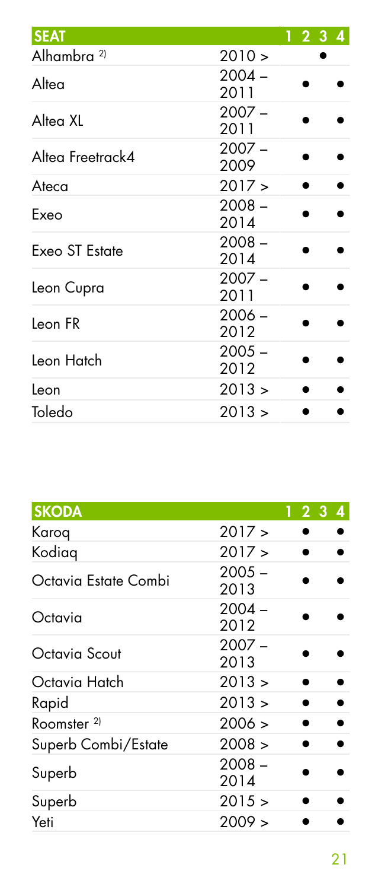| <b>SEAT</b>            |                  | 1234 |
|------------------------|------------------|------|
| Alhambra <sup>2)</sup> | 2010 >           |      |
| Altea                  | $2004 -$<br>2011 |      |
| Alteg XL               | $2007 -$<br>2011 |      |
| Altea Freetrack4       | $2007 -$<br>2009 |      |
| Ateca                  | 2017 >           |      |
| Exeo                   | $2008 -$<br>2014 |      |
| Exeo ST Estate         | $2008 -$<br>2014 |      |
| Leon Cupra             | $2007 -$<br>2011 |      |
| Leon FR                | $2006 -$<br>2012 |      |
| Leon Hatch             | $2005 -$<br>2012 |      |
| Leon                   | 2013 >           |      |
| Toledo                 | 2013 >           |      |

| <b>SKODA</b>           |                  | 123<br>$\overline{4}$ |
|------------------------|------------------|-----------------------|
| Karog                  | 2017 >           |                       |
| Kodiag                 | 2017 >           |                       |
| Octavia Estate Combi   | $2005 -$<br>2013 |                       |
| Octavia                | $2004 -$<br>2012 |                       |
| Octavia Scout          | $2007 -$<br>2013 |                       |
| Octavia Hatch          | 2013 >           |                       |
| Rapid                  | 2013 >           |                       |
| Roomster <sup>2)</sup> | 2006 >           |                       |
| Superb Combi/Estate    | 2008 >           |                       |
| Superb                 | $2008 -$<br>2014 |                       |
| Superb                 | 2015 >           |                       |
| Yeti                   | 2009 >           |                       |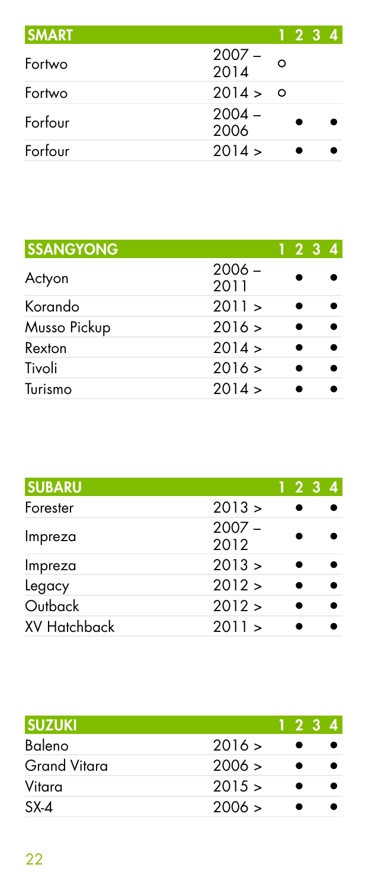| <b>SMART</b> |                  |         | 1 2 3 4 |  |
|--------------|------------------|---------|---------|--|
| Fortwo       | $2007 - 2014$    | $\circ$ |         |  |
| Fortwo       | 2014 > 0         |         |         |  |
| Forfour      | $2004 -$<br>2006 |         |         |  |
| Forfour      | 2014 >           |         |         |  |

| <b>SSANGYONG</b> |                  | 1 2 3 4 |  |
|------------------|------------------|---------|--|
| Actyon           | $2006 -$<br>2011 |         |  |
| Korando          | 2011 >           |         |  |
| Musso Pickup     | 2016 >           |         |  |
| Rexton           | 2014 >           |         |  |
| Tivoli           | 2016 >           |         |  |
| Turismo          | 2014 >           |         |  |

| <b>SUBARU</b>       |                  | 1 2 3 4 |
|---------------------|------------------|---------|
| Forester            | 2013 >           |         |
| Impreza             | $2007 -$<br>2012 |         |
| Impreza             | 2013 >           |         |
| Legacy              | 2012 >           |         |
| Outback             | 2012 >           |         |
| <b>XV Hatchback</b> | 2011 >           |         |

| <b>ISUZUKI</b>      |        | 1234 |  |
|---------------------|--------|------|--|
| Baleno              | 2016 > |      |  |
| <b>Grand Vitara</b> | 2006 > |      |  |
| Vitara              | 2015 > |      |  |
| $SX-4$              | 2006 > |      |  |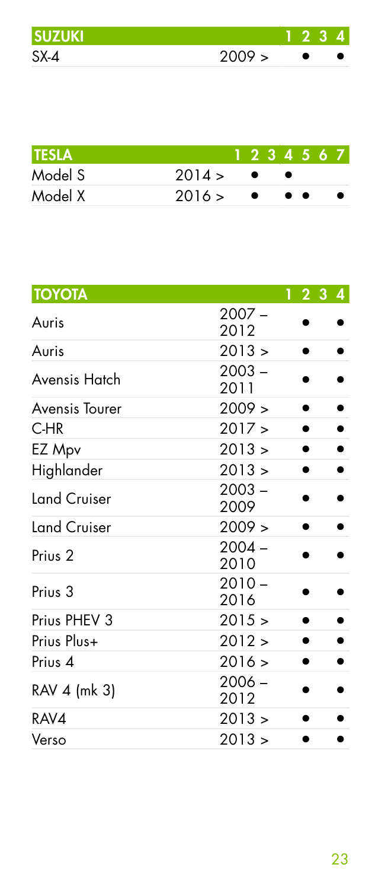| <b>SUZUKI</b> |        | - 22 |  |
|---------------|--------|------|--|
| SX-4          | 2009 > |      |  |

| ITESLA  |        |           |                                              | 1234567 |  |
|---------|--------|-----------|----------------------------------------------|---------|--|
| Model S | 2014 > |           |                                              |         |  |
| Model X | 2016 > | $\bullet$ | $\bullet\hspace{0.4mm}\bullet\hspace{0.4mm}$ |         |  |

| <b>TOYOTA</b>       |                  | 1234 |
|---------------------|------------------|------|
| Auris               | $2007 -$<br>2012 |      |
| Auris               | 2013 >           |      |
| Avensis Hatch       | $2003 -$<br>2011 |      |
| Avensis Tourer      | 2009 >           |      |
| $C-HR$              | 2017 >           |      |
| EZ Mpv              | 2013 >           |      |
| Highlander          | 2013 >           |      |
| <b>Land Cruiser</b> | $2003 -$<br>2009 |      |
| <b>Land Cruiser</b> | 2009 >           |      |
| Prius <sub>2</sub>  | $2004 -$<br>2010 |      |
| Prius <sub>3</sub>  | $2010 -$<br>2016 |      |
| Prius PHEV 3        | 2015 >           |      |
| Prius Plus+         | 2012 >           |      |
| Prius <sub>4</sub>  | 2016 >           |      |
| RAV 4 (mk 3)        | $2006 -$<br>2012 |      |
| RAV4                | 2013 >           |      |
| Verso               | 2013 >           |      |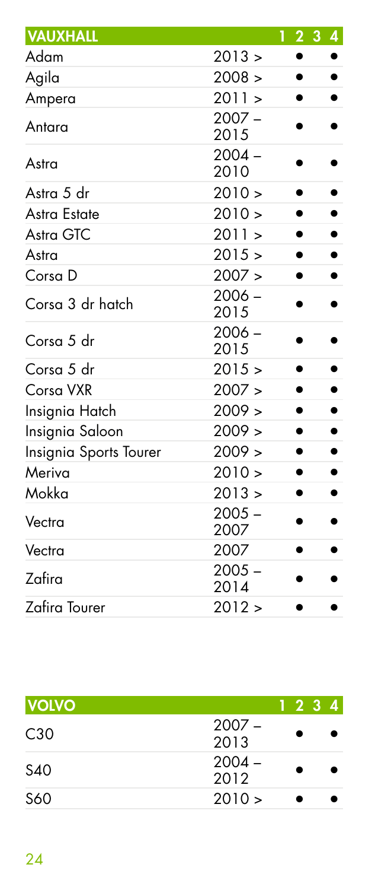| <b>VAUXHALL</b>        |                  | 1234      |   |
|------------------------|------------------|-----------|---|
| Adam                   | 2013 >           | $\bullet$ |   |
| Agila                  | 2008 >           | $\bullet$ |   |
| Ampera                 | 2011 >           |           |   |
| Antara                 | $2007 -$<br>2015 |           |   |
| Astra                  | $2004 -$<br>2010 |           |   |
| Astra 5 dr             | 2010 >           |           |   |
| Astra Estate           | 2010 >           |           |   |
| Astra GTC              | 2011 >           | $\bullet$ | ٠ |
| Astra                  | 2015 >           |           |   |
| Corsa D                | 2007 >           |           |   |
| Corsa 3 dr hatch       | $2006 -$<br>2015 |           |   |
| Corsa 5 dr             | $2006 -$<br>2015 |           |   |
| Corsa 5 dr             | 2015 >           | $\bullet$ |   |
| Corsa VXR              | 2007 >           |           |   |
| Insignia Hatch         | 2009 >           | $\bullet$ |   |
| Insignia Saloon        | 2009 >           |           |   |
| Insignia Sports Tourer | 2009 >           |           |   |
| Meriva                 | 2010 >           | $\bullet$ | ٠ |
| Mokka                  | 2013 >           |           |   |
| Vectra                 | $2005 -$<br>2007 |           |   |
| Vectra                 | 2007             |           |   |
| Zafira                 | $2005 -$<br>2014 |           |   |
| Zafira Tourer          | 2012 >           |           |   |

| <b>VOLVO</b> |                  | 1234 |  |
|--------------|------------------|------|--|
| C30          | $2007 -$<br>2013 |      |  |
| S40          | $2004 -$<br>2012 |      |  |
| S60          | 2010 >           |      |  |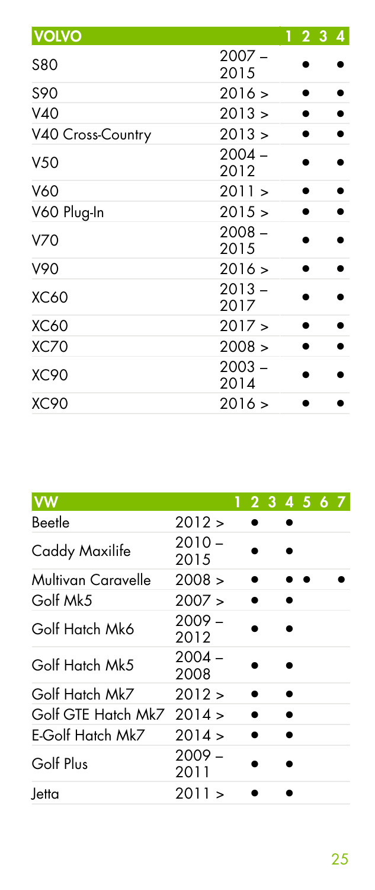| <b>VOLVO</b>      |                  | 1234 |
|-------------------|------------------|------|
| <b>S80</b>        | $2007 -$<br>2015 |      |
| S90               | 2016 >           |      |
| V40               | 2013 >           |      |
| V40 Cross-Country | 2013 >           |      |
| V <sub>50</sub>   | $2004 -$<br>2012 |      |
| V60               | 2011 >           |      |
| V60 Plug-In       | 2015 >           |      |
| V70               | $2008 -$<br>2015 |      |
| V90               | 2016 >           |      |
| <b>XC60</b>       | $2013 -$<br>2017 |      |
| <b>XC60</b>       | 2017 >           |      |
| <b>XC70</b>       | 2008 >           |      |
| <b>XC90</b>       | $2003 -$<br>2014 |      |
| <b>XC90</b>       | 2016 >           |      |

| <b>yw</b>                 |                  | 1234567 |  |  |  |
|---------------------------|------------------|---------|--|--|--|
| Beetle                    | 2012 >           |         |  |  |  |
| Caddy Maxilife            | $2010 -$<br>2015 |         |  |  |  |
| Multivan Caravelle        | 2008 >           |         |  |  |  |
| Golf Mk5                  | 2007 >           |         |  |  |  |
| Golf Hatch Mk6            | $2009 -$<br>2012 |         |  |  |  |
| Golf Hatch Mk5            | $2004 -$<br>2008 |         |  |  |  |
| Golf Hatch Mk7            | 2012 >           |         |  |  |  |
| Golf GTE Hatch Mk7 2014 > |                  |         |  |  |  |
| E-Golf Hatch Mk7          | 2014 >           |         |  |  |  |
| Golf Plus                 | $2009 -$<br>2011 |         |  |  |  |
| Jetta                     | 2011 >           |         |  |  |  |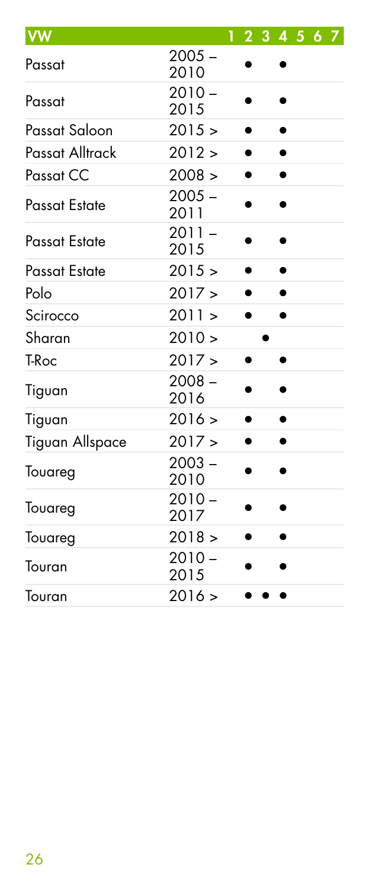| <b>VW</b>       |                  | 1 2 3 4 5 6 7 |           |  |  |
|-----------------|------------------|---------------|-----------|--|--|
| Passat          | $2005 -$<br>2010 |               |           |  |  |
| Passat          | $2010 -$<br>2015 |               |           |  |  |
| Passat Saloon   | 2015 >           | $\bullet$     | ٠         |  |  |
| Passat Alltrack | 2012 >           | ٠             | ٠         |  |  |
| Passat CC       | 2008 >           | ٠             | ٠         |  |  |
| Passat Estate   | $2005 -$<br>2011 |               |           |  |  |
| Passat Estate   | $2011 -$<br>2015 |               |           |  |  |
| Passat Estate   | 2015 >           | $\bullet$     | $\bullet$ |  |  |
| Polo            | 2017 >           | ٠             | ٠         |  |  |
| Scirocco        | 2011 >           | ٠             | ٠         |  |  |
| Sharan          | 2010 >           |               |           |  |  |
| T-Roc           | 2017 >           |               |           |  |  |
| Tiguan          | $2008 -$<br>2016 |               |           |  |  |
| Tiguan          | 2016 >           |               | $\bullet$ |  |  |
| Tiguan Allspace | 2017 >           |               |           |  |  |
| Touareg         | $2003 -$<br>2010 |               |           |  |  |
| Touareg         | $2010 -$<br>2017 |               |           |  |  |
| Touareg         | 2018 >           |               |           |  |  |
| Touran          | $2010 -$<br>2015 |               |           |  |  |
| Touran          | 2016 >           |               |           |  |  |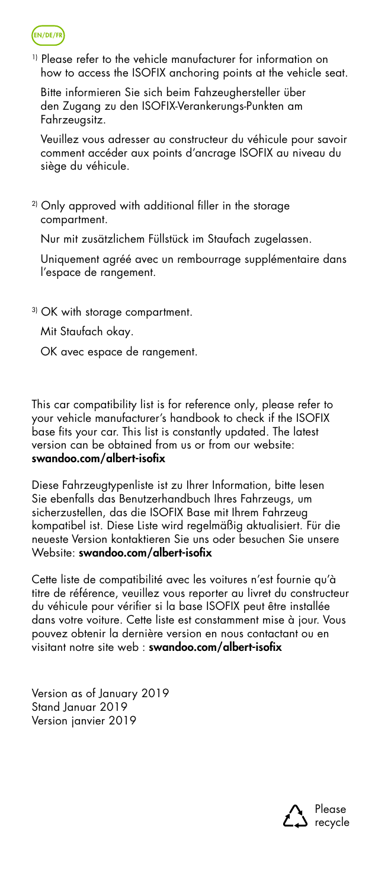

1) Please refer to the vehicle manufacturer for information on how to access the ISOFIX anchoring points at the vehicle seat.

Bitte informieren Sie sich beim Fahzeughersteller über den Zugang zu den ISOFIX-Verankerungs-Punkten am Fahrzeugsitz.

Veuillez vous adresser au constructeur du véhicule pour savoir comment accéder aux points d'ancrage ISOFIX au niveau du siège du véhicule.

<sup>2)</sup> Only approved with additional filler in the storage compartment.

Nur mit zusätzlichem Füllstück im Staufach zugelassen.

Uniquement agréé avec un rembourrage supplémentaire dans l'espace de rangement.

3) OK with storage compartment.

Mit Staufach okay.

OK avec espace de rangement.

This car compatibility list is for reference only, please refer to your vehicle manufacturer's handbook to check if the ISOFIX base fits your car. This list is constantly updated. The latest version can be obtained from us or from our website: swandoo.com/albert-isofix

Diese Fahrzeugtypenliste ist zu Ihrer Information, bitte lesen Sie ebenfalls das Benutzerhandbuch Ihres Fahrzeugs, um sicherzustellen, das die ISOFIX Base mit Ihrem Fahrzeug kompatibel ist. Diese Liste wird regelmäßig aktualisiert. Für die neueste Version kontaktieren Sie uns oder besuchen Sie unsere Website: swandoo.com/albert-isofix

Cette liste de compatibilité avec les voitures n'est fournie qu'à titre de référence, veuillez vous reporter au livret du constructeur du véhicule pour vérifier si la base ISOFIX peut être installée dans votre voiture. Cette liste est constamment mise à jour. Vous pouvez obtenir la dernière version en nous contactant ou en visitant notre site web : swandoo.com/albert-isofix

Version as of January 2019 Stand Januar 2019 Version janvier 2019